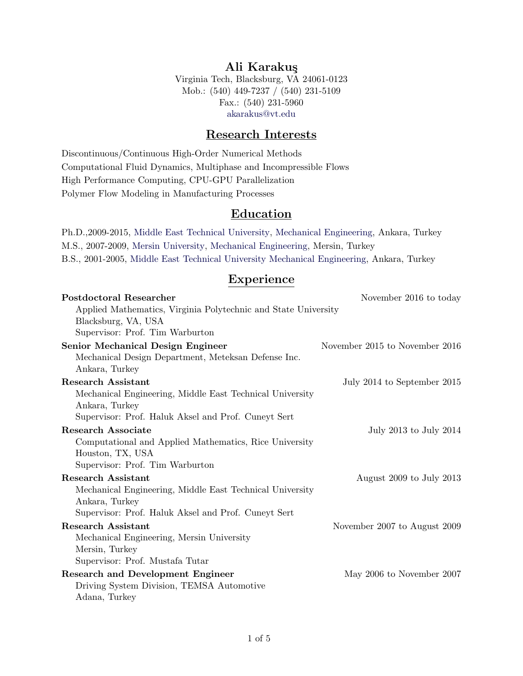# Ali Karakuş

Virginia Tech, Blacksburg, VA 24061-0123 Mob.: (540) 449-7237 / (540) 231-5109 Fax.: (540) 231-5960 [akarakus@vt.edu](mailto:akarakus@vt.edu)

# Research Interests

Discontinuous/Continuous High-Order Numerical Methods Computational Fluid Dynamics, Multiphase and Incompressible Flows High Performance Computing, CPU-GPU Parallelization Polymer Flow Modeling in Manufacturing Processes

## **Education**

Ph.D.,2009-2015, [Middle East Technical University,](http://www.metu.edu.tr) [Mechanical Engineering,](http://www.me.metu.edu.tr) Ankara, Turkey M.S., 2007-2009, [Mersin University,](http://www.mersin.edu.tr) [Mechanical Engineering,](http://www.mersin.edu.tr/academic/faculty-of-engineering/departments/department-of-mechanical-engineering) Mersin, Turkey B.S., 2001-2005, [Middle East Technical University](http://www.metu.edu.tr) [Mechanical Engineering,](http://www.me.metu.edu.tr) Ankara, Turkey

## Experience

| <b>Postdoctoral Researcher</b>                                 | November 2016 to today         |
|----------------------------------------------------------------|--------------------------------|
| Applied Mathematics, Virginia Polytechnic and State University |                                |
| Blacksburg, VA, USA                                            |                                |
| Supervisor: Prof. Tim Warburton                                |                                |
| <b>Senior Mechanical Design Engineer</b>                       | November 2015 to November 2016 |
| Mechanical Design Department, Meteksan Defense Inc.            |                                |
| Ankara, Turkey                                                 |                                |
| <b>Research Assistant</b>                                      | July 2014 to September 2015    |
| Mechanical Engineering, Middle East Technical University       |                                |
| Ankara, Turkey                                                 |                                |
| Supervisor: Prof. Haluk Aksel and Prof. Cuneyt Sert            |                                |
| <b>Research Associate</b>                                      | July 2013 to July 2014         |
| Computational and Applied Mathematics, Rice University         |                                |
| Houston, TX, USA                                               |                                |
| Supervisor: Prof. Tim Warburton                                |                                |
| <b>Research Assistant</b>                                      | August 2009 to July 2013       |
| Mechanical Engineering, Middle East Technical University       |                                |
| Ankara, Turkey                                                 |                                |
| Supervisor: Prof. Haluk Aksel and Prof. Cuneyt Sert            |                                |
| <b>Research Assistant</b>                                      | November 2007 to August 2009   |
| Mechanical Engineering, Mersin University                      |                                |
| Mersin, Turkey                                                 |                                |
| Supervisor: Prof. Mustafa Tutar                                |                                |
| <b>Research and Development Engineer</b>                       | May 2006 to November 2007      |
| Driving System Division, TEMSA Automotive                      |                                |
| Adana, Turkey                                                  |                                |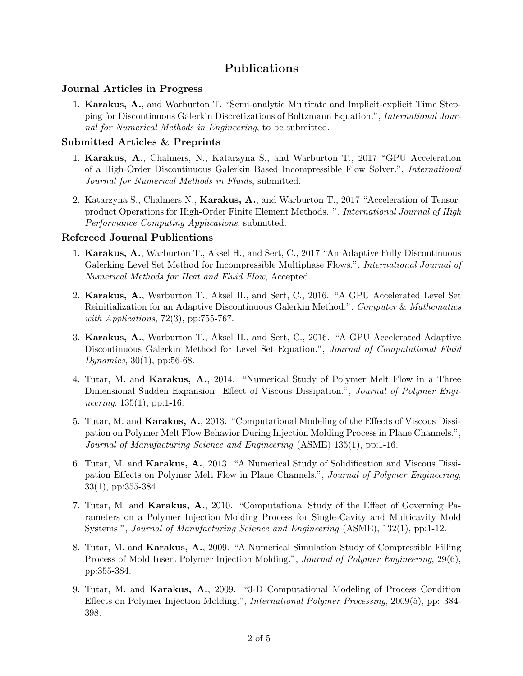# Publications

### Journal Articles in Progress

1. Karakus, A., and Warburton T. "Semi-analytic Multirate and Implicit-explicit Time Stepping for Discontinuous Galerkin Discretizations of Boltzmann Equation.", International Journal for Numerical Methods in Engineering, to be submitted.

### Submitted Articles & Preprints

- 1. Karakus, A., Chalmers, N., Katarzyna S., and Warburton T., 2017 "GPU Acceleration of a High-Order Discontinuous Galerkin Based Incompressible Flow Solver.", International Journal for Numerical Methods in Fluids, submitted.
- 2. Katarzyna S., Chalmers N., Karakus, A., and Warburton T., 2017 "Acceleration of Tensorproduct Operations for High-Order Finite Element Methods. ", International Journal of High Performance Computing Applications, submitted.

### Refereed Journal Publications

- 1. Karakus, A., Warburton T., Aksel H., and Sert, C., 2017 "An Adaptive Fully Discontinuous Galerking Level Set Method for Incompressible Multiphase Flows.", International Journal of Numerical Methods for Heat and Fluid Flow, Accepted.
- 2. Karakus, A., Warburton T., Aksel H., and Sert, C., 2016. "A GPU Accelerated Level Set Reinitialization for an Adaptive Discontinuous Galerkin Method.", Computer & Mathematics with *Applications*, 72(3), pp:755-767.
- 3. Karakus, A., Warburton T., Aksel H., and Sert, C., 2016. "A GPU Accelerated Adaptive Discontinuous Galerkin Method for Level Set Equation.", *Journal of Computational Fluid* Dynamics, 30(1), pp:56-68.
- 4. Tutar, M. and Karakus, A., 2014. "Numerical Study of Polymer Melt Flow in a Three Dimensional Sudden Expansion: Effect of Viscous Dissipation.", Journal of Polymer Engi*neering*,  $135(1)$ , pp:1-16.
- 5. Tutar, M. and Karakus, A., 2013. "Computational Modeling of the Effects of Viscous Dissipation on Polymer Melt Flow Behavior During Injection Molding Process in Plane Channels.", Journal of Manufacturing Science and Engineering (ASME) 135(1), pp:1-16.
- 6. Tutar, M. and Karakus, A., 2013. "A Numerical Study of Solidification and Viscous Dissipation Effects on Polymer Melt Flow in Plane Channels.", Journal of Polymer Engineering, 33(1), pp:355-384.
- 7. Tutar, M. and Karakus, A., 2010. "Computational Study of the Effect of Governing Parameters on a Polymer Injection Molding Process for Single-Cavity and Multicavity Mold Systems.", Journal of Manufacturing Science and Engineering (ASME), 132(1), pp:1-12.
- 8. Tutar, M. and Karakus, A., 2009. "A Numerical Simulation Study of Compressible Filling Process of Mold Insert Polymer Injection Molding.", Journal of Polymer Engineering, 29(6), pp:355-384.
- 9. Tutar, M. and Karakus, A., 2009. "3-D Computational Modeling of Process Condition Effects on Polymer Injection Molding.", International Polymer Processing, 2009(5), pp: 384- 398.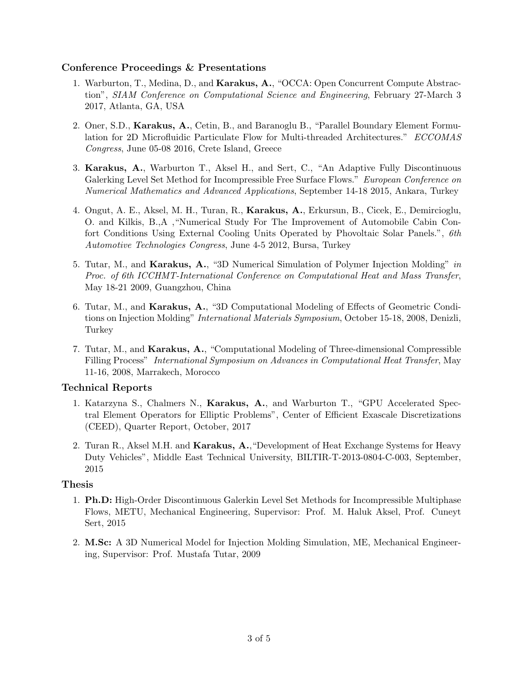### Conference Proceedings & Presentations

- 1. Warburton, T., Medina, D., and Karakus, A., "OCCA: Open Concurrent Compute Abstraction", SIAM Conference on Computational Science and Engineering, February 27-March 3 2017, Atlanta, GA, USA
- 2. Oner, S.D., Karakus, A., Cetin, B., and Baranoglu B., "Parallel Boundary Element Formulation for 2D Microfluidic Particulate Flow for Multi-threaded Architectures." ECCOMAS Congress, June 05-08 2016, Crete Island, Greece
- 3. Karakus, A., Warburton T., Aksel H., and Sert, C., "An Adaptive Fully Discontinuous Galerking Level Set Method for Incompressible Free Surface Flows." European Conference on Numerical Mathematics and Advanced Applications, September 14-18 2015, Ankara, Turkey
- 4. Ongut, A. E., Aksel, M. H., Turan, R., Karakus, A., Erkursun, B., Cicek, E., Demircioglu, O. and Kilkis, B.,A ,"Numerical Study For The Improvement of Automobile Cabin Confort Conditions Using External Cooling Units Operated by Phovoltaic Solar Panels.", 6th Automotive Technologies Congress, June 4-5 2012, Bursa, Turkey
- 5. Tutar, M., and Karakus, A., "3D Numerical Simulation of Polymer Injection Molding" in Proc. of 6th ICCHMT-International Conference on Computational Heat and Mass Transfer, May 18-21 2009, Guangzhou, China
- 6. Tutar, M., and Karakus, A., "3D Computational Modeling of Effects of Geometric Conditions on Injection Molding" International Materials Symposium, October 15-18, 2008, Denizli, Turkey
- 7. Tutar, M., and Karakus, A., "Computational Modeling of Three-dimensional Compressible Filling Process" International Symposium on Advances in Computational Heat Transfer, May 11-16, 2008, Marrakech, Morocco

### Technical Reports

- 1. Katarzyna S., Chalmers N., Karakus, A., and Warburton T., "GPU Accelerated Spectral Element Operators for Elliptic Problems", Center of Efficient Exascale Discretizations (CEED), Quarter Report, October, 2017
- 2. Turan R., Aksel M.H. and Karakus, A.,"Development of Heat Exchange Systems for Heavy Duty Vehicles", Middle East Technical University, BILTIR-T-2013-0804-C-003, September, 2015

### Thesis

- 1. Ph.D: High-Order Discontinuous Galerkin Level Set Methods for Incompressible Multiphase Flows, METU, Mechanical Engineering, Supervisor: Prof. M. Haluk Aksel, Prof. Cuneyt Sert, 2015
- 2. M.Sc: A 3D Numerical Model for Injection Molding Simulation, ME, Mechanical Engineering, Supervisor: Prof. Mustafa Tutar, 2009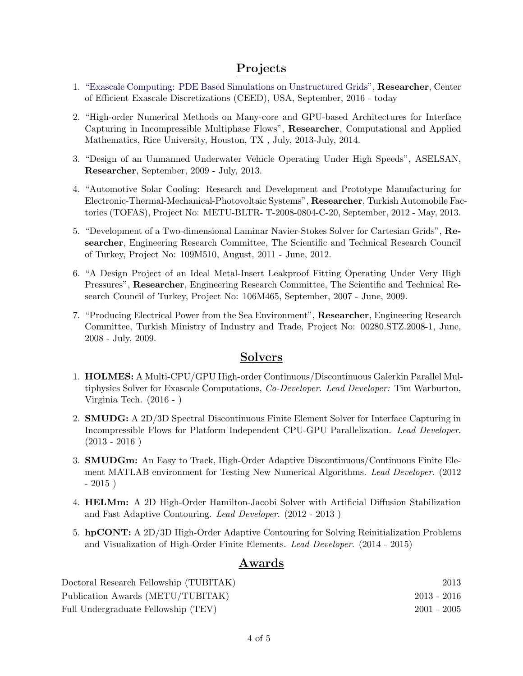## Projects

- 1. ["Exascale Computing: PDE Based Simulations on Unstructured Grids",](http://ceed.exascaleproject.org/) Researcher, Center of Efficient Exascale Discretizations (CEED), USA, September, 2016 - today
- 2. "High-order Numerical Methods on Many-core and GPU-based Architectures for Interface Capturing in Incompressible Multiphase Flows", Researcher, Computational and Applied Mathematics, Rice University, Houston, TX , July, 2013-July, 2014.
- 3. "Design of an Unmanned Underwater Vehicle Operating Under High Speeds", ASELSAN, Researcher, September, 2009 - July, 2013.
- 4. "Automotive Solar Cooling: Research and Development and Prototype Manufacturing for Electronic-Thermal-Mechanical-Photovoltaic Systems", Researcher, Turkish Automobile Factories (TOFAS), Project No: METU-BLTR- T-2008-0804-C-20, September, 2012 - May, 2013.
- 5. "Development of a Two-dimensional Laminar Navier-Stokes Solver for Cartesian Grids", Researcher, Engineering Research Committee, The Scientific and Technical Research Council of Turkey, Project No: 109M510, August, 2011 - June, 2012.
- 6. "A Design Project of an Ideal Metal-Insert Leakproof Fitting Operating Under Very High Pressures", Researcher, Engineering Research Committee, The Scientific and Technical Research Council of Turkey, Project No: 106M465, September, 2007 - June, 2009.
- 7. "Producing Electrical Power from the Sea Environment", Researcher, Engineering Research Committee, Turkish Ministry of Industry and Trade, Project No: 00280.STZ.2008-1, June, 2008 - July, 2009.

### Solvers

- 1. HOLMES: A Multi-CPU/GPU High-order Continuous/Discontinuous Galerkin Parallel Multiphysics Solver for Exascale Computations, Co-Developer. Lead Developer: Tim Warburton, Virginia Tech. (2016 - )
- 2. SMUDG: A 2D/3D Spectral Discontinuous Finite Element Solver for Interface Capturing in Incompressible Flows for Platform Independent CPU-GPU Parallelization. Lead Developer.  $(2013 - 2016)$
- 3. SMUDGm: An Easy to Track, High-Order Adaptive Discontinuous/Continuous Finite Element MATLAB environment for Testing New Numerical Algorithms. Lead Developer. (2012  $-2015$ )
- 4. HELMm: A 2D High-Order Hamilton-Jacobi Solver with Artificial Diffusion Stabilization and Fast Adaptive Contouring. Lead Developer. (2012 - 2013 )
- 5. hpCONT: A 2D/3D High-Order Adaptive Contouring for Solving Reinitialization Problems and Visualization of High-Order Finite Elements. Lead Developer. (2014 - 2015)

## Awards

| Doctoral Research Fellowship (TUBITAK) |               | 2013 |
|----------------------------------------|---------------|------|
| Publication Awards (METU/TUBITAK)      | $2013 - 2016$ |      |
| Full Undergraduate Fellowship (TEV)    | $2001 - 2005$ |      |